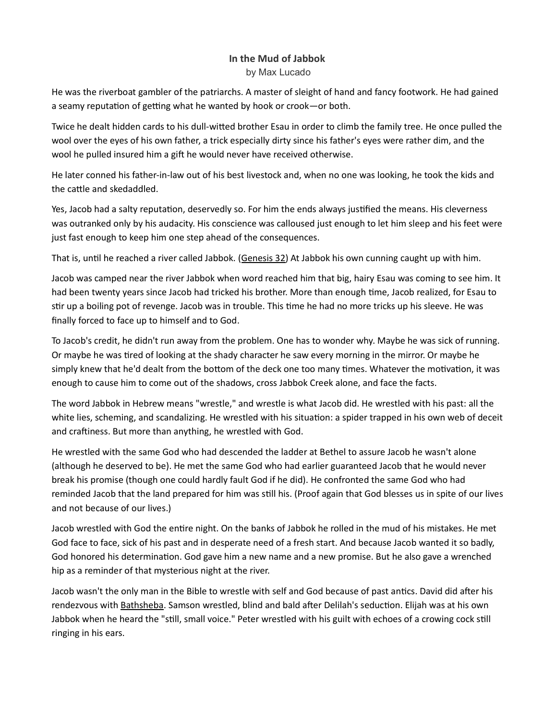## In the Mud of Jabbok

by Max Lucado

He was the riverboat gambler of the patriarchs. A master of sleight of hand and fancy footwork. He had gained a seamy reputation of getting what he wanted by hook or crook—or both.

Twice he dealt hidden cards to his dull-witted brother Esau in order to climb the family tree. He once pulled the wool over the eyes of his own father, a trick especially dirty since his father's eyes were rather dim, and the wool he pulled insured him a gift he would never have received otherwise.

He later conned his father-in-law out of his best livestock and, when no one was looking, he took the kids and the cattle and skedaddled.

Yes, Jacob had a salty reputation, deservedly so. For him the ends always justified the means. His cleverness was outranked only by his audacity. His conscience was calloused just enough to let him sleep and his feet were just fast enough to keep him one step ahead of the consequences.

That is, until he reached a river called Jabbok. (Genesis 32) At Jabbok his own cunning caught up with him.

Jacob was camped near the river Jabbok when word reached him that big, hairy Esau was coming to see him. It had been twenty years since Jacob had tricked his brother. More than enough time, Jacob realized, for Esau to stir up a boiling pot of revenge. Jacob was in trouble. This time he had no more tricks up his sleeve. He was finally forced to face up to himself and to God.

To Jacob's credit, he didn't run away from the problem. One has to wonder why. Maybe he was sick of running. Or maybe he was tired of looking at the shady character he saw every morning in the mirror. Or maybe he simply knew that he'd dealt from the bottom of the deck one too many times. Whatever the motivation, it was enough to cause him to come out of the shadows, cross Jabbok Creek alone, and face the facts.

The word Jabbok in Hebrew means "wrestle," and wrestle is what Jacob did. He wrestled with his past: all the white lies, scheming, and scandalizing. He wrestled with his situation: a spider trapped in his own web of deceit and craftiness. But more than anything, he wrestled with God.

He wrestled with the same God who had descended the ladder at Bethel to assure Jacob he wasn't alone (although he deserved to be). He met the same God who had earlier guaranteed Jacob that he would never break his promise (though one could hardly fault God if he did). He confronted the same God who had reminded Jacob that the land prepared for him was still his. (Proof again that God blesses us in spite of our lives and not because of our lives.)

Jacob wrestled with God the entire night. On the banks of Jabbok he rolled in the mud of his mistakes. He met God face to face, sick of his past and in desperate need of a fresh start. And because Jacob wanted it so badly, God honored his determination. God gave him a new name and a new promise. But he also gave a wrenched hip as a reminder of that mysterious night at the river.

Jacob wasn't the only man in the Bible to wrestle with self and God because of past antics. David did after his rendezvous with Bathsheba. Samson wrestled, blind and bald after Delilah's seduction. Elijah was at his own Jabbok when he heard the "still, small voice." Peter wrestled with his guilt with echoes of a crowing cock still ringing in his ears.